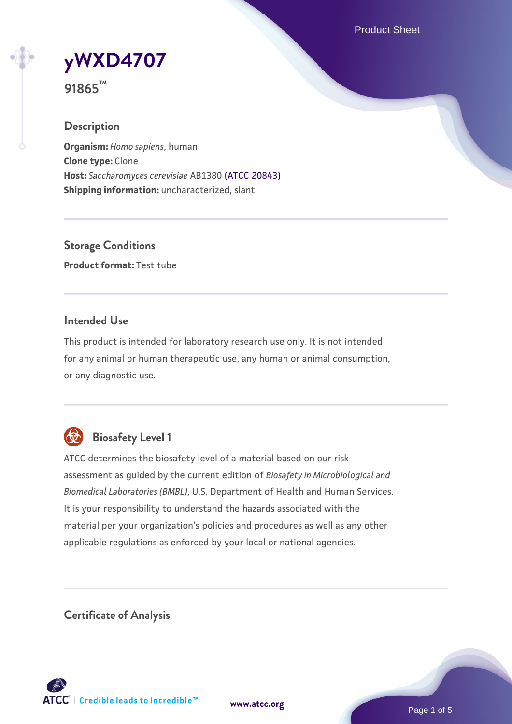Product Sheet



**91865™**

## **Description**

**Organism:** *Homo sapiens*, human **Clone type:** Clone **Host:** *Saccharomyces cerevisiae* AB1380 [\(ATCC 20843\)](https://www.atcc.org/products/20843) **Shipping information:** uncharacterized, slant

**Storage Conditions Product format:** Test tube

### **Intended Use**

This product is intended for laboratory research use only. It is not intended for any animal or human therapeutic use, any human or animal consumption, or any diagnostic use.



# **Biosafety Level 1**

ATCC determines the biosafety level of a material based on our risk assessment as guided by the current edition of *Biosafety in Microbiological and Biomedical Laboratories (BMBL)*, U.S. Department of Health and Human Services. It is your responsibility to understand the hazards associated with the material per your organization's policies and procedures as well as any other applicable regulations as enforced by your local or national agencies.

**Certificate of Analysis**

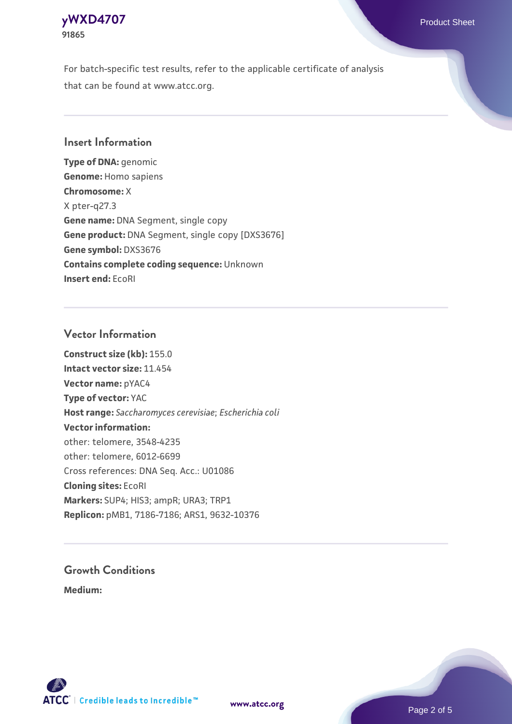

For batch-specific test results, refer to the applicable certificate of analysis that can be found at www.atcc.org.

### **Insert Information**

**Type of DNA:** genomic **Genome:** Homo sapiens **Chromosome:** X X pter-q27.3 **Gene name:** DNA Segment, single copy **Gene product:** DNA Segment, single copy [DXS3676] **Gene symbol:** DXS3676 **Contains complete coding sequence:** Unknown **Insert end:** EcoRI

#### **Vector Information**

**Construct size (kb):** 155.0 **Intact vector size:** 11.454 **Vector name:** pYAC4 **Type of vector:** YAC **Host range:** *Saccharomyces cerevisiae*; *Escherichia coli* **Vector information:** other: telomere, 3548-4235 other: telomere, 6012-6699 Cross references: DNA Seq. Acc.: U01086 **Cloning sites:** EcoRI **Markers:** SUP4; HIS3; ampR; URA3; TRP1 **Replicon:** pMB1, 7186-7186; ARS1, 9632-10376

# **Growth Conditions**

**Medium:** 



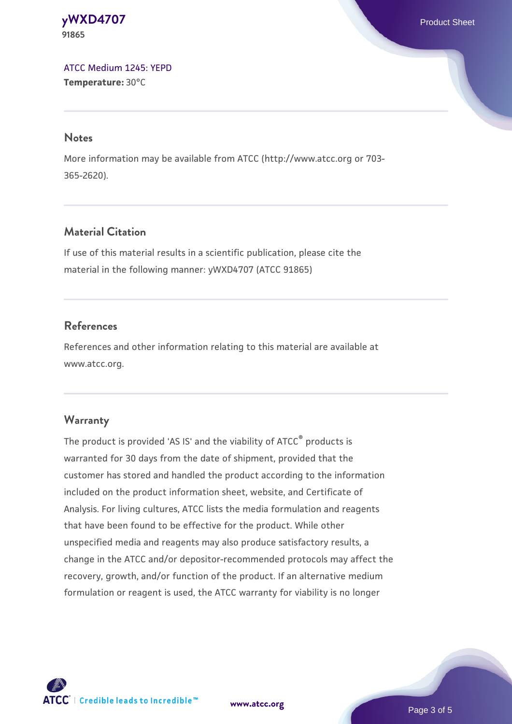**[yWXD4707](https://www.atcc.org/products/91865)** Product Sheet **91865**

[ATCC Medium 1245: YEPD](https://www.atcc.org/-/media/product-assets/documents/microbial-media-formulations/1/2/4/5/atcc-medium-1245.pdf?rev=705ca55d1b6f490a808a965d5c072196) **Temperature:** 30°C

#### **Notes**

More information may be available from ATCC (http://www.atcc.org or 703- 365-2620).

## **Material Citation**

If use of this material results in a scientific publication, please cite the material in the following manner: yWXD4707 (ATCC 91865)

### **References**

References and other information relating to this material are available at www.atcc.org.

#### **Warranty**

The product is provided 'AS IS' and the viability of ATCC® products is warranted for 30 days from the date of shipment, provided that the customer has stored and handled the product according to the information included on the product information sheet, website, and Certificate of Analysis. For living cultures, ATCC lists the media formulation and reagents that have been found to be effective for the product. While other unspecified media and reagents may also produce satisfactory results, a change in the ATCC and/or depositor-recommended protocols may affect the recovery, growth, and/or function of the product. If an alternative medium formulation or reagent is used, the ATCC warranty for viability is no longer



**[www.atcc.org](http://www.atcc.org)**

Page 3 of 5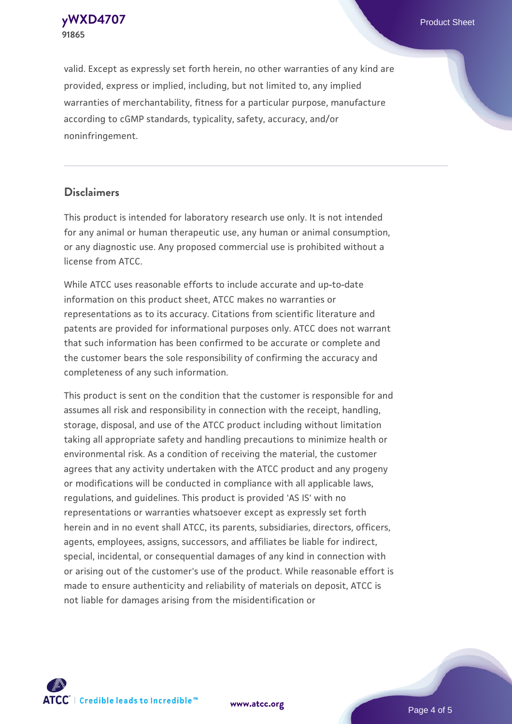**91865**

valid. Except as expressly set forth herein, no other warranties of any kind are provided, express or implied, including, but not limited to, any implied warranties of merchantability, fitness for a particular purpose, manufacture according to cGMP standards, typicality, safety, accuracy, and/or noninfringement.

#### **Disclaimers**

This product is intended for laboratory research use only. It is not intended for any animal or human therapeutic use, any human or animal consumption, or any diagnostic use. Any proposed commercial use is prohibited without a license from ATCC.

While ATCC uses reasonable efforts to include accurate and up-to-date information on this product sheet, ATCC makes no warranties or representations as to its accuracy. Citations from scientific literature and patents are provided for informational purposes only. ATCC does not warrant that such information has been confirmed to be accurate or complete and the customer bears the sole responsibility of confirming the accuracy and completeness of any such information.

This product is sent on the condition that the customer is responsible for and assumes all risk and responsibility in connection with the receipt, handling, storage, disposal, and use of the ATCC product including without limitation taking all appropriate safety and handling precautions to minimize health or environmental risk. As a condition of receiving the material, the customer agrees that any activity undertaken with the ATCC product and any progeny or modifications will be conducted in compliance with all applicable laws, regulations, and guidelines. This product is provided 'AS IS' with no representations or warranties whatsoever except as expressly set forth herein and in no event shall ATCC, its parents, subsidiaries, directors, officers, agents, employees, assigns, successors, and affiliates be liable for indirect, special, incidental, or consequential damages of any kind in connection with or arising out of the customer's use of the product. While reasonable effort is made to ensure authenticity and reliability of materials on deposit, ATCC is not liable for damages arising from the misidentification or



**[www.atcc.org](http://www.atcc.org)**

Page 4 of 5